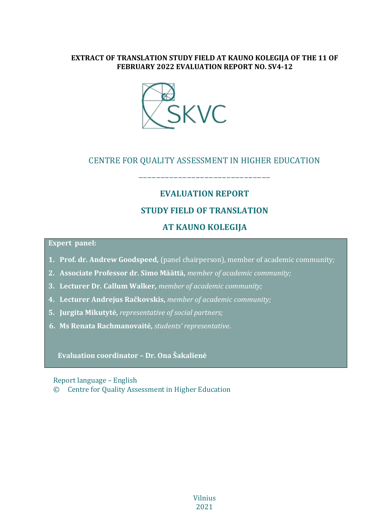### **EXTRACT OF TRANSLATION STUDY FIELD AT KAUNO KOLEGIJA OF THE 11 OF FEBRUARY 2022 EVALUATION REPORT NO. SV4-12**



### CENTRE FOR QUALITY ASSESSMENT IN HIGHER EDUCATION

––––––––––––––––––––––––––––––

# **EVALUATION REPORT STUDY FIELD OF TRANSLATION AT KAUNO KOLEGIJA**

#### **Expert panel:**

- **1. Prof. dr. Andrew Goodspeed,** (panel chairperson), member of academic community*;*
- **2. Associate Professor dr. Simo Määttä,** *member of academic community;*
- **3. Lecturer Dr. Callum Walker,** *member of academic community;*
- **4. Lecturer Andrejus Račkovskis,** *member of academic community;*
- **5. Jurgita Mikutytė,** *representative of social partners;*
- **6. Ms Renata Rachmanovaitė,** *students' representative*.

**Evaluation coordinator – Dr. Ona Šakalienė**

Report language – English

© Centre for Quality Assessment in Higher Education

Vilnius 2021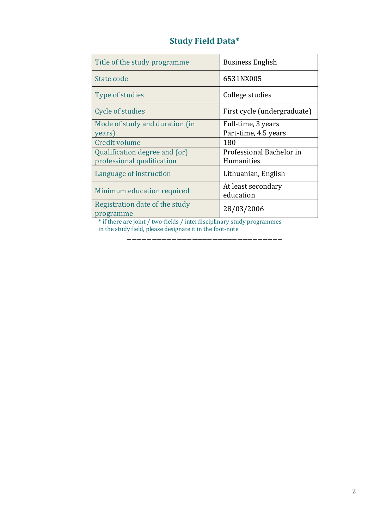|  |  | <b>Study Field Data*</b> |
|--|--|--------------------------|
|--|--|--------------------------|

| Title of the study programme                | <b>Business English</b>         |
|---------------------------------------------|---------------------------------|
| State code                                  | 6531NX005                       |
| Type of studies                             | College studies                 |
| Cycle of studies                            | First cycle (undergraduate)     |
| Mode of study and duration (in              | Full-time, 3 years              |
| years)                                      | Part-time, 4.5 years            |
| Credit volume                               | 180                             |
| Qualification degree and (or)               | Professional Bachelor in        |
| professional qualification                  | Humanities                      |
| Language of instruction                     | Lithuanian, English             |
| Minimum education required                  | At least secondary<br>education |
|                                             |                                 |
| Registration date of the study<br>programme | 28/03/2006                      |

\* if there are joint / two-fields / interdisciplinary study programmes in the study field, please designate it in the foot-note

–––––––––––––––––––––––––––––––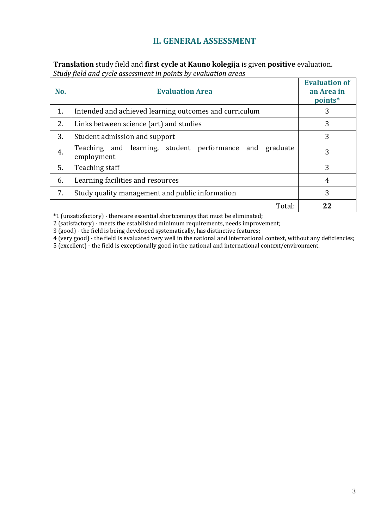## **II. GENERAL ASSESSMENT**

**Translation** study field and **first cycle** at **Kauno kolegija** is given **positive** evaluation. *Study field and cycle assessment in points by evaluation areas*

| No. | <b>Evaluation Area</b>                                                      | <b>Evaluation of</b><br>an Area in<br>points* |
|-----|-----------------------------------------------------------------------------|-----------------------------------------------|
| 1.  | Intended and achieved learning outcomes and curriculum                      | 3                                             |
| 2.  | Links between science (art) and studies                                     | 3                                             |
| 3.  | Student admission and support                                               | 3                                             |
| 4.  | Teaching and learning, student performance<br>and<br>graduate<br>employment | 3                                             |
| 5.  | Teaching staff                                                              | 3                                             |
| 6.  | Learning facilities and resources                                           | 4                                             |
| 7.  | Study quality management and public information                             | 3                                             |
|     | Total:                                                                      | 22                                            |

\*1 (unsatisfactory) - there are essential shortcomings that must be eliminated;

2 (satisfactory) - meets the established minimum requirements, needs improvement;

3 (good) - the field is being developed systematically, has distinctive features;

4 (very good) - the field is evaluated very well in the national and international context, without any deficiencies;

5 (excellent) - the field is exceptionally good in the national and international context/environment.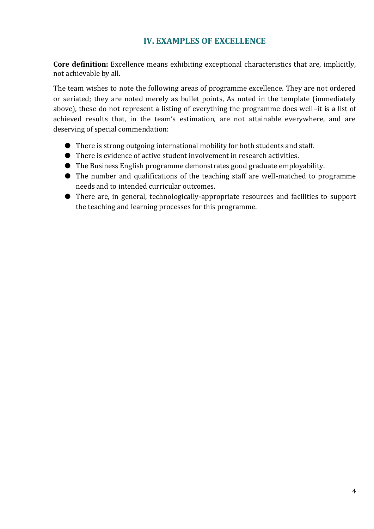## **IV. EXAMPLES OF EXCELLENCE**

**Core definition:** Excellence means exhibiting exceptional characteristics that are, implicitly, not achievable by all.

The team wishes to note the following areas of programme excellence. They are not ordered or seriated; they are noted merely as bullet points, As noted in the template (immediately above), these do not represent a listing of everything the programme does well–it is a list of achieved results that, in the team's estimation, are not attainable everywhere, and are deserving of special commendation:

- There is strong outgoing international mobility for both students and staff.
- There is evidence of active student involvement in research activities.
- The Business English programme demonstrates good graduate employability.
- The number and qualifications of the teaching staff are well-matched to programme needs and to intended curricular outcomes.
- There are, in general, technologically-appropriate resources and facilities to support the teaching and learning processes for this programme.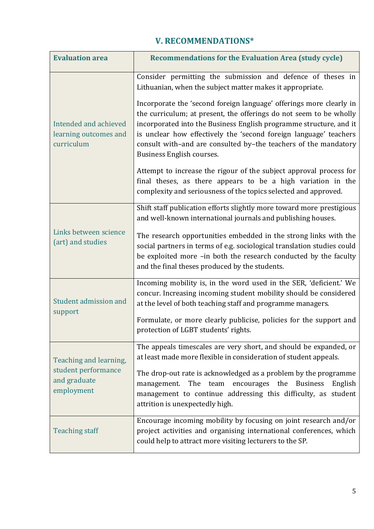| <b>V. RECOMMENDATIONS*</b> |  |
|----------------------------|--|
|----------------------------|--|

| <b>Evaluation area</b>                                                      | <b>Recommendations for the Evaluation Area (study cycle)</b>                                                                                                                                                                                                                                                                                                                                                                                                                                                                                                                                                                                                                                                              |
|-----------------------------------------------------------------------------|---------------------------------------------------------------------------------------------------------------------------------------------------------------------------------------------------------------------------------------------------------------------------------------------------------------------------------------------------------------------------------------------------------------------------------------------------------------------------------------------------------------------------------------------------------------------------------------------------------------------------------------------------------------------------------------------------------------------------|
| Intended and achieved<br>learning outcomes and<br>curriculum                | Consider permitting the submission and defence of theses in<br>Lithuanian, when the subject matter makes it appropriate.<br>Incorporate the 'second foreign language' offerings more clearly in<br>the curriculum; at present, the offerings do not seem to be wholly<br>incorporated into the Business English programme structure, and it<br>is unclear how effectively the 'second foreign language' teachers<br>consult with-and are consulted by-the teachers of the mandatory<br>Business English courses.<br>Attempt to increase the rigour of the subject approval process for<br>final theses, as there appears to be a high variation in the<br>complexity and seriousness of the topics selected and approved. |
| Links between science<br>(art) and studies                                  | Shift staff publication efforts slightly more toward more prestigious<br>and well-known international journals and publishing houses.<br>The research opportunities embedded in the strong links with the<br>social partners in terms of e.g. sociological translation studies could<br>be exploited more -in both the research conducted by the faculty<br>and the final theses produced by the students.                                                                                                                                                                                                                                                                                                                |
| Student admission and<br>support                                            | Incoming mobility is, in the word used in the SER, 'deficient.' We<br>concur. Increasing incoming student mobility should be considered<br>at the level of both teaching staff and programme managers.<br>Formulate, or more clearly publicise, policies for the support and<br>protection of LGBT students' rights.                                                                                                                                                                                                                                                                                                                                                                                                      |
| Teaching and learning,<br>student performance<br>and graduate<br>employment | The appeals timescales are very short, and should be expanded, or<br>at least made more flexible in consideration of student appeals.<br>The drop-out rate is acknowledged as a problem by the programme<br>The team encourages the Business<br>management.<br>English<br>management to continue addressing this difficulty, as student<br>attrition is unexpectedly high.                                                                                                                                                                                                                                                                                                                                                |
| <b>Teaching staff</b>                                                       | Encourage incoming mobility by focusing on joint research and/or<br>project activities and organising international conferences, which<br>could help to attract more visiting lecturers to the SP.                                                                                                                                                                                                                                                                                                                                                                                                                                                                                                                        |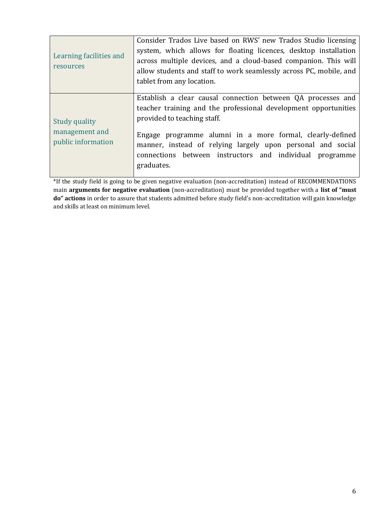| Learning facilities and<br>resources                         | Consider Trados Live based on RWS' new Trados Studio licensing<br>system, which allows for floating licences, desktop installation<br>across multiple devices, and a cloud-based companion. This will<br>allow students and staff to work seamlessly across PC, mobile, and<br>tablet from any location.                                                             |
|--------------------------------------------------------------|----------------------------------------------------------------------------------------------------------------------------------------------------------------------------------------------------------------------------------------------------------------------------------------------------------------------------------------------------------------------|
| <b>Study quality</b><br>management and<br>public information | Establish a clear causal connection between QA processes and<br>teacher training and the professional development opportunities<br>provided to teaching staff.<br>Engage programme alumni in a more formal, clearly-defined<br>manner, instead of relying largely upon personal and social<br>connections between instructors and individual programme<br>graduates. |

\*If the study field is going to be given negative evaluation (non-accreditation) instead of RECOMMENDATIONS main **arguments for negative evaluation** (non-accreditation) must be provided together with a **list of "must do" actions** in order to assure that students admitted before study field's non-accreditation will gain knowledge and skills at least on minimum level.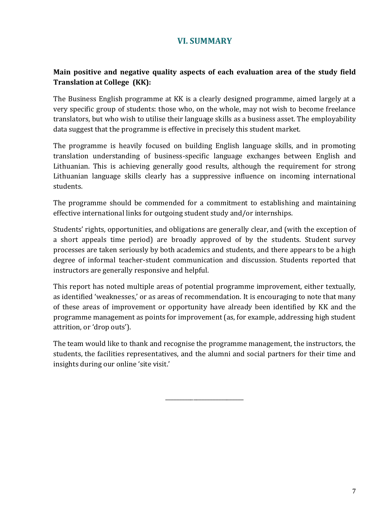### **VI. SUMMARY**

### **Main positive and negative quality aspects of each evaluation area of the study field Translation at College (KK):**

The Business English programme at KK is a clearly designed programme, aimed largely at a very specific group of students: those who, on the whole, may not wish to become freelance translators, but who wish to utilise their language skills as a business asset. The employability data suggest that the programme is effective in precisely this student market.

The programme is heavily focused on building English language skills, and in promoting translation understanding of business-specific language exchanges between English and Lithuanian. This is achieving generally good results, although the requirement for strong Lithuanian language skills clearly has a suppressive influence on incoming international students.

The programme should be commended for a commitment to establishing and maintaining effective international links for outgoing student study and/or internships.

Students' rights, opportunities, and obligations are generally clear, and (with the exception of a short appeals time period) are broadly approved of by the students. Student survey processes are taken seriously by both academics and students, and there appears to be a high degree of informal teacher-student communication and discussion. Students reported that instructors are generally responsive and helpful.

This report has noted multiple areas of potential programme improvement, either textually, as identified 'weaknesses,' or as areas of recommendation. It is encouraging to note that many of these areas of improvement or opportunity have already been identified by KK and the programme management as points for improvement (as, for example, addressing high student attrition, or 'drop outs').

The team would like to thank and recognise the programme management, the instructors, the students, the facilities representatives, and the alumni and social partners for their time and insights during our online 'site visit.'

\_\_\_\_\_\_\_\_\_\_\_\_\_\_\_\_\_\_\_\_\_\_\_\_\_\_\_\_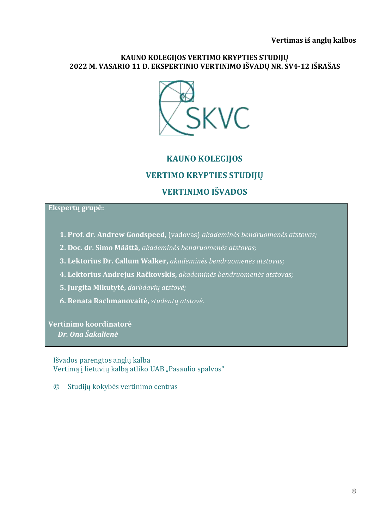### **KAUNO KOLEGIJOS VERTIMO KRYPTIES STUDIJŲ 2022 M. VASARIO 11 D. EKSPERTINIO VERTINIMO IŠVADŲ NR. SV4-12 IŠRAŠAS**



# **KAUNO KOLEGIJOS VERTIMO KRYPTIES STUDIJŲ VERTINIMO IŠVADOS**

### **Ekspertų grupė:**

- **1. Prof. dr. Andrew Goodspeed,** (vadovas) *akademinės bendruomenės atstovas;*
- **2. Doc. dr. Simo Määttä,** *akademinės bendruomenės atstovas;*
- **3. Lektorius Dr. Callum Walker,** *akademinės bendruomenės atstovas;*
- **4. Lektorius Andrejus Račkovskis,** *akademinės bendruomenės atstovas;*
- **5. Jurgita Mikutytė,** *darbdavių atstovė;*
- **6. Renata Rachmanovaitė,** *studentų atstovė*.

**Vertinimo koordinatorė**  *Dr. Ona Šakalienė*

Išvados parengtos anglų kalba Vertimą į lietuvių kalbą atliko UAB "Pasaulio spalvos"

© Studijų kokybės vertinimo centras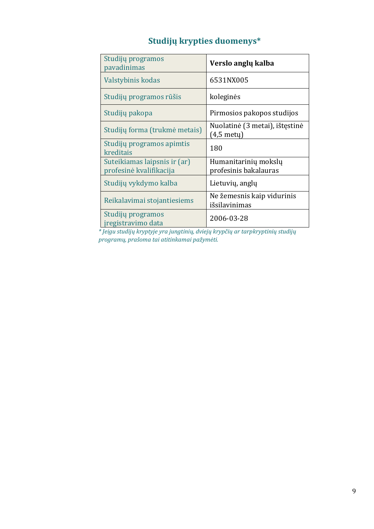# **Studijų krypties duomenys\***

| Studijų programos<br>pavadinimas                        | Verslo anglų kalba                            |
|---------------------------------------------------------|-----------------------------------------------|
| Valstybinis kodas                                       | 6531NX005                                     |
| Studijų programos rūšis                                 | koleginės                                     |
| Studijų pakopa                                          | Pirmosios pakopos studijos                    |
| Studijų forma (trukmė metais)                           | Nuolatinė (3 metai), ištęstinė<br>(4,5 metų)  |
| Studijų programos apimtis<br>kreditais                  | 180                                           |
| Suteikiamas laipsnis ir (ar)<br>profesinė kvalifikacija | Humanitarinių mokslų<br>profesinis bakalauras |
| Studijų vykdymo kalba                                   | Lietuvių, anglų                               |
| Reikalavimai stojantiesiems                             | Ne žemesnis kaip vidurinis<br>išsilavinimas   |
| Studijų programos<br>iregistravimo data                 | 2006-03-28                                    |

*\* Jeigu studijų kryptyje yra jungtinių, dviejų krypčių ar tarpkryptinių studijų programų, prašoma tai atitinkamai pažymėti.*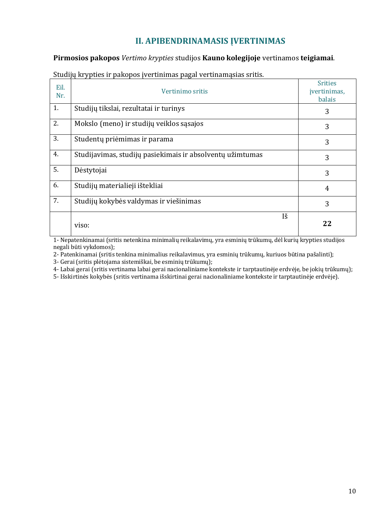## **II. APIBENDRINAMASIS ĮVERTINIMAS**

**Pirmosios pakopos** *Vertimo krypties* studijos **Kauno kolegijoje** vertinamos **teigiamai**.

| Eil.<br>Nr. | Vertinimo sritis                                          | <b>Srities</b><br>įvertinimas,<br>balais |
|-------------|-----------------------------------------------------------|------------------------------------------|
| 1.          | Studijų tikslai, rezultatai ir turinys                    | 3                                        |
| 2.          | Mokslo (meno) ir studijų veiklos sąsajos                  | 3                                        |
| 3.          | Studentų priėmimas ir parama                              | 3                                        |
| 4.          | Studijavimas, studijų pasiekimais ir absolventų užimtumas | 3                                        |
| 5.          | Dėstytojai                                                | 3                                        |
| 6.          | Studijų materialieji ištekliai                            | $\overline{4}$                           |
| 7.          | Studijų kokybės valdymas ir viešinimas                    | 3                                        |
|             | Iš<br>viso:                                               | 22                                       |

Studijų krypties ir pakopos įvertinimas pagal vertinamąsias sritis.

1- Nepatenkinamai (sritis netenkina minimalių reikalavimų, yra esminių trūkumų, dėl kurių krypties studijos negali būti vykdomos);

2- Patenkinamai (sritis tenkina minimalius reikalavimus, yra esminių trūkumų, kuriuos būtina pašalinti);

3- Gerai (sritis plėtojama sistemiškai, be esminių trūkumų);

4- Labai gerai (sritis vertinama labai gerai nacionaliniame kontekste ir tarptautinėje erdvėje, be jokių trūkumų);

5- Išskirtinės kokybės (sritis vertinama išskirtinai gerai nacionaliniame kontekste ir tarptautinėje erdvėje).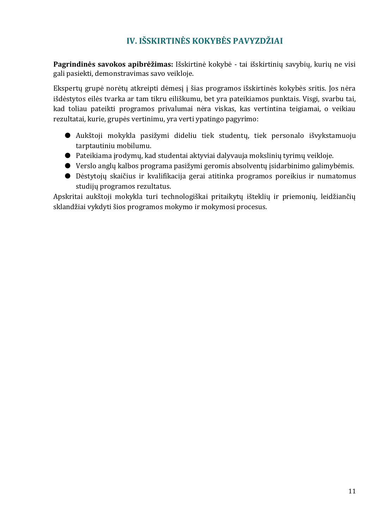# **IV. IŠSKIRTINĖS KOKYBĖS PAVYZDŽIAI**

**Pagrindinės savokos apibrėžimas:** Išskirtinė kokybė - tai išskirtinių savybių, kurių ne visi gali pasiekti, demonstravimas savo veikloje.

Ekspertų grupė norėtų atkreipti dėmesį į šias programos išskirtinės kokybės sritis. Jos nėra išdėstytos eilės tvarka ar tam tikru eiliškumu, bet yra pateikiamos punktais. Visgi, svarbu tai, kad toliau pateikti programos privalumai nėra viskas, kas vertintina teigiamai, o veikiau rezultatai, kurie, grupės vertinimu, yra verti ypatingo pagyrimo:

- Aukštoji mokykla pasižymi dideliu tiek studentų, tiek personalo išvykstamuoju tarptautiniu mobilumu.
- Pateikiama įrodymų, kad studentai aktyviai dalyvauja mokslinių tyrimų veikloje.
- Verslo anglų kalbos programa pasižymi geromis absolventų įsidarbinimo galimybėmis.
- Dėstytojų skaičius ir kvalifikacija gerai atitinka programos poreikius ir numatomus studijų programos rezultatus.

Apskritai aukštoji mokykla turi technologiškai pritaikytų išteklių ir priemonių, leidžiančių sklandžiai vykdyti šios programos mokymo ir mokymosi procesus.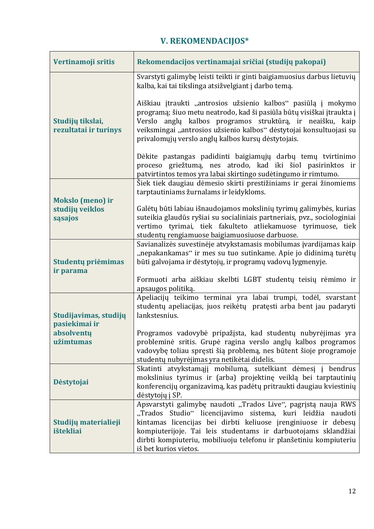# **V. REKOMENDACIJOS\***

 $\mathbf{r}$ 

| Vertinamoji sritis                        | Rekomendacijos vertinamajai sričiai (studijų pakopai)                                                                                                                                                                                                                                                                                                            |
|-------------------------------------------|------------------------------------------------------------------------------------------------------------------------------------------------------------------------------------------------------------------------------------------------------------------------------------------------------------------------------------------------------------------|
|                                           | Svarstyti galimybę leisti teikti ir ginti baigiamuosius darbus lietuvių<br>kalba, kai tai tikslinga atsižvelgiant į darbo temą.                                                                                                                                                                                                                                  |
| Studijų tikslai,<br>rezultatai ir turinys | Aiškiau įtraukti "antrosios užsienio kalbos" pasiūlą į mokymo<br>programą; šiuo metu neatrodo, kad ši pasiūla būtų visiškai įtraukta į<br>Verslo anglų kalbos programos struktūrą, ir neaišku, kaip<br>veiksmingai "antrosios užsienio kalbos" dėstytojai konsultuojasi su<br>privalomųjų verslo anglų kalbos kursų dėstytojais.                                 |
|                                           | Dėkite pastangas padidinti baigiamųjų darbų temų tvirtinimo<br>proceso griežtumą, nes atrodo, kad iki šiol pasirinktos ir<br>patvirtintos temos yra labai skirtingo sudėtingumo ir rimtumo.                                                                                                                                                                      |
| <b>Mokslo (meno) ir</b>                   | Šiek tiek daugiau dėmesio skirti prestižiniams ir gerai žinomiems<br>tarptautiniams žurnalams ir leidykloms.                                                                                                                                                                                                                                                     |
| studijų veiklos<br>sąsajos                | Galėtų būti labiau išnaudojamos mokslinių tyrimų galimybės, kurias<br>suteikia glaudūs ryšiai su socialiniais partneriais, pvz., sociologiniai<br>vertimo tyrimai, tiek fakulteto atliekamuose tyrimuose, tiek<br>studentų rengiamuose baigiamuosiuose darbuose.                                                                                                 |
| Studentų priėmimas<br>ir parama           | Savianalizės suvestinėje atvykstamasis mobilumas įvardijamas kaip<br>"nepakankamas" ir mes su tuo sutinkame. Apie jo didinimą turėtų<br>būti galvojama ir dėstytojų, ir programų vadovų lygmenyje.                                                                                                                                                               |
|                                           | Formuoti arba aiškiau skelbti LGBT studentų teisių rėmimo ir<br>apsaugos politiką.                                                                                                                                                                                                                                                                               |
| Studijavimas, studijų<br>pasiekimai ir    | Apeliacijų teikimo terminai yra labai trumpi, todėl, svarstant<br>studentų apeliacijas, juos reikėtų pratęsti arba bent jau padaryti<br>lankstesnius.                                                                                                                                                                                                            |
| absolventu<br>užimtumas                   | Programos vadovybė pripažįsta, kad studentų nubyrėjimas yra<br>probleminė sritis. Grupė ragina verslo anglų kalbos programos<br>vadovybę toliau spręsti šią problemą, nes būtent šioje programoje<br>studentų nubyrėjimas yra netikėtai didelis.                                                                                                                 |
| Dėstytojai                                | Skatinti atvykstamąjį mobilumą, sutelkiant dėmesį į bendrus<br>mokslinius tyrimus ir (arba) projektinę veiklą bei tarptautinių<br>konferencijų organizavimą, kas padėtų pritraukti daugiau kviestinių<br>dėstytojų į SP.                                                                                                                                         |
| Studijų materialieji<br>ištekliai         | Apsvarstyti galimybę naudoti "Trados Live", pagrįstą nauja RWS<br>"Trados Studio" licencijavimo sistema, kuri leidžia naudoti<br>kintamas licencijas bei dirbti keliuose įrenginiuose ir debesų<br>kompiuterijoje. Tai leis studentams ir darbuotojams sklandžiai<br>dirbti kompiuteriu, mobiliuoju telefonu ir planšetiniu kompiuteriu<br>iš bet kurios vietos. |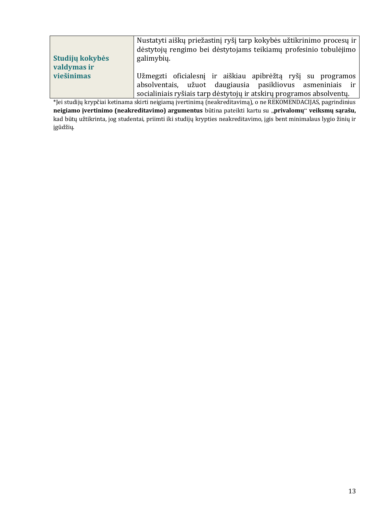| Studijų kokybės<br>valdymas ir | Nustatyti aiškų priežastinį ryšį tarp kokybės užtikrinimo procesų ir<br>dėstytojų rengimo bei dėstytojams teikiamų profesinio tobulėjimo<br>galimybių.                                           |
|--------------------------------|--------------------------------------------------------------------------------------------------------------------------------------------------------------------------------------------------|
| viešinimas                     | Užmegzti oficialesnį ir aiškiau apibrėžtą ryšį su programos<br>absolventais, užuot daugiausia pasikliovus asmeniniais ir<br>socialiniais ryšiais tarp dėstytojų ir atskirų programos absolventų. |

\*Jei studijų krypčiai ketinama skirti neigiamą įvertinimą (neakreditavimą), o ne REKOMENDACIJAS, pagrindinius **neigiamo įvertinimo (neakreditavimo) argumentus** būtina pateikti kartu su "**privalomų**" **veiksmų sąrašu,** kad būtų užtikrinta, jog studentai, priimti iki studijų krypties neakreditavimo, įgis bent minimalaus lygio žinių ir įgūdžių.